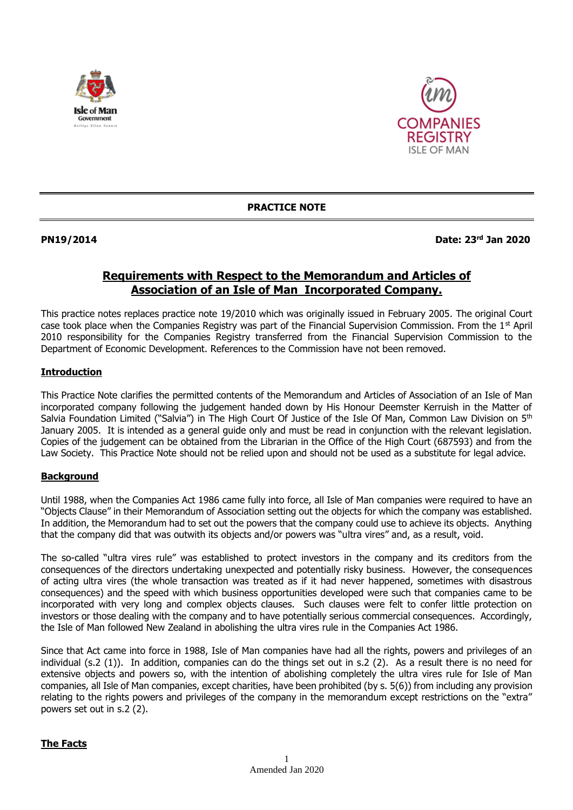



**PRACTICE NOTE**

**PN19/2014 Date: 23rd Jan 2020**

# **Requirements with Respect to the Memorandum and Articles of Association of an Isle of Man Incorporated Company.**

This practice notes replaces practice note 19/2010 which was originally issued in February 2005. The original Court case took place when the Companies Registry was part of the Financial Supervision Commission. From the  $1<sup>st</sup>$  April 2010 responsibility for the Companies Registry transferred from the Financial Supervision Commission to the Department of Economic Development. References to the Commission have not been removed.

### **Introduction**

This Practice Note clarifies the permitted contents of the Memorandum and Articles of Association of an Isle of Man incorporated company following the judgement handed down by His Honour Deemster Kerruish in the Matter of Salvia Foundation Limited ("Salvia") in The High Court Of Justice of the Isle Of Man, Common Law Division on 5<sup>th</sup> January 2005. It is intended as a general guide only and must be read in conjunction with the relevant legislation. Copies of the judgement can be obtained from the Librarian in the Office of the High Court (687593) and from the Law Society. This Practice Note should not be relied upon and should not be used as a substitute for legal advice.

## **Background**

Until 1988, when the Companies Act 1986 came fully into force, all Isle of Man companies were required to have an "Objects Clause" in their Memorandum of Association setting out the objects for which the company was established. In addition, the Memorandum had to set out the powers that the company could use to achieve its objects. Anything that the company did that was outwith its objects and/or powers was "ultra vires" and, as a result, void.

The so-called "ultra vires rule" was established to protect investors in the company and its creditors from the consequences of the directors undertaking unexpected and potentially risky business. However, the consequences of acting ultra vires (the whole transaction was treated as if it had never happened, sometimes with disastrous consequences) and the speed with which business opportunities developed were such that companies came to be incorporated with very long and complex objects clauses. Such clauses were felt to confer little protection on investors or those dealing with the company and to have potentially serious commercial consequences. Accordingly, the Isle of Man followed New Zealand in abolishing the ultra vires rule in the Companies Act 1986.

Since that Act came into force in 1988, Isle of Man companies have had all the rights, powers and privileges of an individual (s.2 (1)). In addition, companies can do the things set out in s.2 (2). As a result there is no need for extensive objects and powers so, with the intention of abolishing completely the ultra vires rule for Isle of Man companies, all Isle of Man companies, except charities, have been prohibited (by s. 5(6)) from including any provision relating to the rights powers and privileges of the company in the memorandum except restrictions on the "extra" powers set out in s.2 (2).

### **The Facts**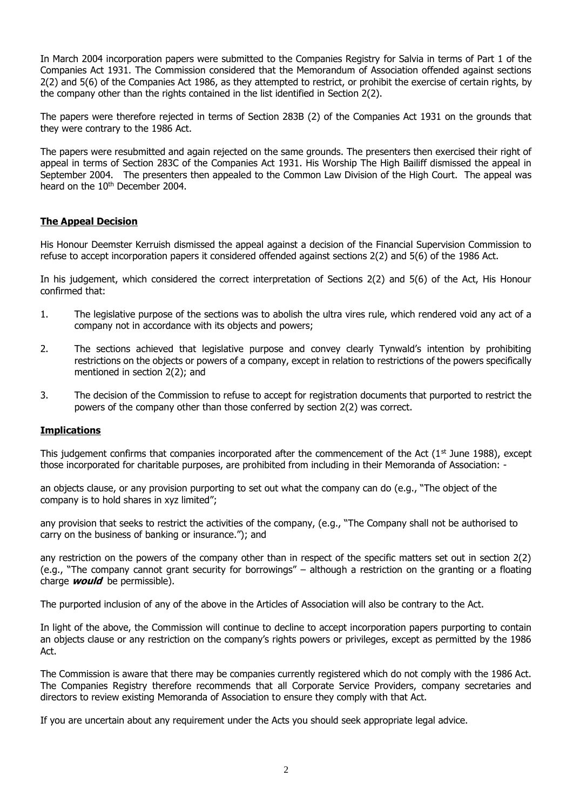In March 2004 incorporation papers were submitted to the Companies Registry for Salvia in terms of Part 1 of the Companies Act 1931. The Commission considered that the Memorandum of Association offended against sections 2(2) and 5(6) of the Companies Act 1986, as they attempted to restrict, or prohibit the exercise of certain rights, by the company other than the rights contained in the list identified in Section 2(2).

The papers were therefore rejected in terms of Section 283B (2) of the Companies Act 1931 on the grounds that they were contrary to the 1986 Act.

The papers were resubmitted and again rejected on the same grounds. The presenters then exercised their right of appeal in terms of Section 283C of the Companies Act 1931. His Worship The High Bailiff dismissed the appeal in September 2004. The presenters then appealed to the Common Law Division of the High Court. The appeal was heard on the 10<sup>th</sup> December 2004.

#### **The Appeal Decision**

His Honour Deemster Kerruish dismissed the appeal against a decision of the Financial Supervision Commission to refuse to accept incorporation papers it considered offended against sections 2(2) and 5(6) of the 1986 Act.

In his judgement, which considered the correct interpretation of Sections 2(2) and 5(6) of the Act, His Honour confirmed that:

- 1. The legislative purpose of the sections was to abolish the ultra vires rule, which rendered void any act of a company not in accordance with its objects and powers;
- 2. The sections achieved that legislative purpose and convey clearly Tynwald's intention by prohibiting restrictions on the objects or powers of a company, except in relation to restrictions of the powers specifically mentioned in section 2(2); and
- 3. The decision of the Commission to refuse to accept for registration documents that purported to restrict the powers of the company other than those conferred by section 2(2) was correct.

#### **Implications**

This judgement confirms that companies incorporated after the commencement of the Act  $(1<sup>st</sup>$  June 1988), except those incorporated for charitable purposes, are prohibited from including in their Memoranda of Association: -

an objects clause, or any provision purporting to set out what the company can do (e.g., "The object of the company is to hold shares in xyz limited";

any provision that seeks to restrict the activities of the company, (e.g., "The Company shall not be authorised to carry on the business of banking or insurance."); and

any restriction on the powers of the company other than in respect of the specific matters set out in section 2(2) (e.g., "The company cannot grant security for borrowings" – although a restriction on the granting or a floating charge **would** be permissible).

The purported inclusion of any of the above in the Articles of Association will also be contrary to the Act.

In light of the above, the Commission will continue to decline to accept incorporation papers purporting to contain an objects clause or any restriction on the company's rights powers or privileges, except as permitted by the 1986 Act.

The Commission is aware that there may be companies currently registered which do not comply with the 1986 Act. The Companies Registry therefore recommends that all Corporate Service Providers, company secretaries and directors to review existing Memoranda of Association to ensure they comply with that Act.

If you are uncertain about any requirement under the Acts you should seek appropriate legal advice.